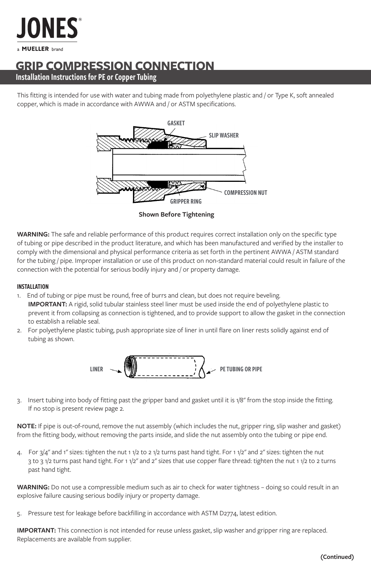

# **GRIP COMPRESSION CONNECTION**

Installation Instructions for PE or Copper Tubing

This fitting is intended for use with water and tubing made from polyethylene plastic and / or Type K, soft annealed copper, which is made in accordance with AWWA and / or ASTM specifications.



**Shown Before Tightening**

**WARNING:** The safe and reliable performance of this product requires correct installation only on the specific type of tubing or pipe described in the product literature, and which has been manufactured and verified by the installer to comply with the dimensional and physical performance criteria as set forth in the pertinent AWWA / ASTM standard for the tubing / pipe. Improper installation or use of this product on non-standard material could result in failure of the connection with the potential for serious bodily injury and / or property damage.

#### INSTALLATION

- 1. End of tubing or pipe must be round, free of burrs and clean, but does not require beveling.  **IMPORTANT:** A rigid, solid tubular stainless steel liner must be used inside the end of polyethylene plastic to prevent it from collapsing as connection is tightened, and to provide support to allow the gasket in the connection to establish a reliable seal.
- 2. For polyethylene plastic tubing, push appropriate size of liner in until flare on liner rests solidly against end of tubing as shown.



3. Insert tubing into body of fitting past the gripper band and gasket until it is 1/8" from the stop inside the fitting. If no stop is present review page 2.

**NOTE:** If pipe is out-of-round, remove the nut assembly (which includes the nut, gripper ring, slip washer and gasket) from the fitting body, without removing the parts inside, and slide the nut assembly onto the tubing or pipe end.

4. For  $3/4$ " and 1" sizes: tighten the nut 1 1/2 to 2 1/2 turns past hand tight. For 1 1/2" and 2" sizes: tighten the nut 3 to 3 1/2 turns past hand tight. For 1 1/2" and 2" sizes that use copper flare thread: tighten the nut 1 1/2 to 2 turns past hand tight.

**WARNING:** Do not use a compressible medium such as air to check for water tightness – doing so could result in an explosive failure causing serious bodily injury or property damage.

5. Pressure test for leakage before backfilling in accordance with ASTM D2774, latest edition.

**IMPORTANT:** This connection is not intended for reuse unless gasket, slip washer and gripper ring are replaced. Replacements are available from supplier.